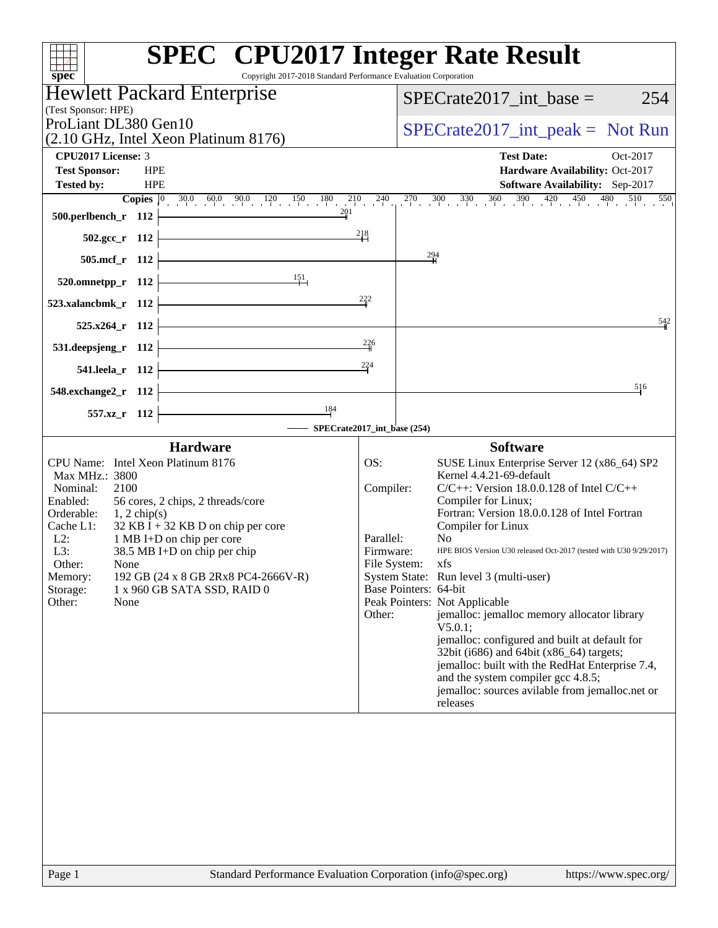| Copyright 2017-2018 Standard Performance Evaluation Corporation<br>spec®          | <b>SPEC<sup>®</sup></b> CPU2017 Integer Rate Result                                                                                                            |
|-----------------------------------------------------------------------------------|----------------------------------------------------------------------------------------------------------------------------------------------------------------|
| <b>Hewlett Packard Enterprise</b>                                                 | $SPECrate2017\_int\_base =$<br>254                                                                                                                             |
| (Test Sponsor: HPE)<br>ProLiant DL380 Gen10                                       |                                                                                                                                                                |
| (2.10 GHz, Intel Xeon Platinum 8176)                                              | $SPECrate2017\_int\_peak = Not Run$                                                                                                                            |
| <b>CPU2017 License: 3</b>                                                         | <b>Test Date:</b><br>Oct-2017                                                                                                                                  |
| <b>HPE</b><br><b>Test Sponsor:</b><br><b>HPE</b><br><b>Tested by:</b>             | Hardware Availability: Oct-2017<br>Software Availability: Sep-2017                                                                                             |
|                                                                                   | <b>Copies</b> $\begin{bmatrix} 0 & 30.0 & 60.0 & 90.0 & 120 & 150 & 180 & 210 & 240 & 270 & 300 & 330 & 360 & 390 & 420 & 450 & 480 & 510 & 550 \end{bmatrix}$ |
| 500.perlbench_r 112                                                               |                                                                                                                                                                |
| $502.\text{gcc r}$ 112                                                            | 218                                                                                                                                                            |
| 505.mcf_r 112                                                                     | $\frac{294}{1}$                                                                                                                                                |
| 151<br>520.omnetpp_r 112                                                          |                                                                                                                                                                |
| 523.xalancbmk_r 112                                                               | 222                                                                                                                                                            |
| 525.x264 r 112                                                                    | 542                                                                                                                                                            |
|                                                                                   | 226                                                                                                                                                            |
| 531.deepsjeng_r 112                                                               | 224                                                                                                                                                            |
| 541.leela_r 112                                                                   |                                                                                                                                                                |
| 548.exchange2_r 112                                                               | 516                                                                                                                                                            |
| 184<br>557.xz_r 112                                                               | SPECrate2017_int_base (254)                                                                                                                                    |
| <b>Hardware</b>                                                                   | <b>Software</b>                                                                                                                                                |
| CPU Name: Intel Xeon Platinum 8176                                                | SUSE Linux Enterprise Server 12 (x86_64) SP2<br>OS:                                                                                                            |
| Max MHz.: 3800<br>Nominal:<br>2100                                                | Kernel 4.4.21-69-default<br>Compiler:<br>$C/C++$ : Version 18.0.0.128 of Intel $C/C++$                                                                         |
| 56 cores, 2 chips, 2 threads/core<br>Enabled:                                     | Compiler for Linux;                                                                                                                                            |
| Orderable:<br>$1, 2$ chip(s)<br>Cache L1:<br>$32$ KB I + 32 KB D on chip per core | Fortran: Version 18.0.0.128 of Intel Fortran<br>Compiler for Linux                                                                                             |
| $L2$ :<br>1 MB I+D on chip per core                                               | Parallel:<br>N <sub>0</sub>                                                                                                                                    |
| L3:<br>38.5 MB I+D on chip per chip                                               | HPE BIOS Version U30 released Oct-2017 (tested with U30 9/29/2017)<br>Firmware:<br>File System: xfs                                                            |
| Other:<br>None<br>192 GB (24 x 8 GB 2Rx8 PC4-2666V-R)<br>Memory:                  | System State: Run level 3 (multi-user)                                                                                                                         |
| 1 x 960 GB SATA SSD, RAID 0<br>Storage:                                           | Base Pointers: 64-bit                                                                                                                                          |
| Other:<br>None                                                                    | Peak Pointers: Not Applicable<br>jemalloc: jemalloc memory allocator library<br>Other:                                                                         |
|                                                                                   | V5.0.1;                                                                                                                                                        |
|                                                                                   | jemalloc: configured and built at default for<br>32bit (i686) and 64bit (x86_64) targets;                                                                      |
|                                                                                   | jemalloc: built with the RedHat Enterprise 7.4,                                                                                                                |
|                                                                                   | and the system compiler gcc 4.8.5;                                                                                                                             |
|                                                                                   | jemalloc: sources avilable from jemalloc.net or<br>releases                                                                                                    |
|                                                                                   |                                                                                                                                                                |
|                                                                                   |                                                                                                                                                                |
|                                                                                   |                                                                                                                                                                |
|                                                                                   |                                                                                                                                                                |
|                                                                                   |                                                                                                                                                                |
|                                                                                   |                                                                                                                                                                |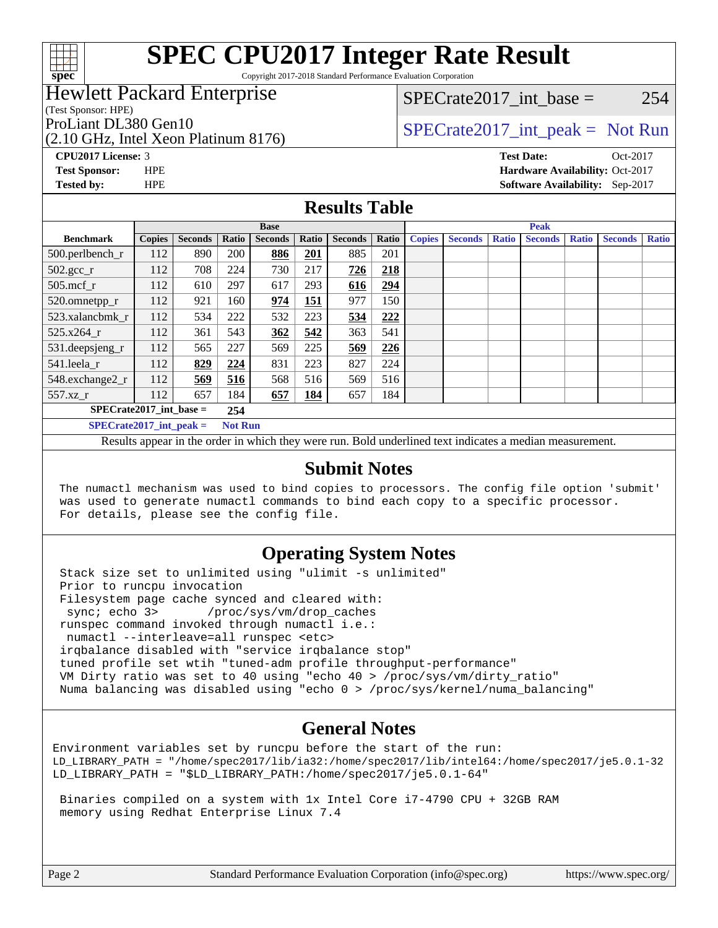

Copyright 2017-2018 Standard Performance Evaluation Corporation

## Hewlett Packard Enterprise

(Test Sponsor: HPE)

(2.10 GHz, Intel Xeon Platinum 8176)

 $SPECTate2017\_int\_base = 254$ 

## ProLiant DL380 Gen10  $SPECTA = 10$   $SPECTA = 2017$  int peak = Not Run

**[CPU2017 License:](http://www.spec.org/auto/cpu2017/Docs/result-fields.html#CPU2017License)** 3 **[Test Date:](http://www.spec.org/auto/cpu2017/Docs/result-fields.html#TestDate)** Oct-2017 **[Test Sponsor:](http://www.spec.org/auto/cpu2017/Docs/result-fields.html#TestSponsor)** HPE **[Hardware Availability:](http://www.spec.org/auto/cpu2017/Docs/result-fields.html#HardwareAvailability)** Oct-2017 **[Tested by:](http://www.spec.org/auto/cpu2017/Docs/result-fields.html#Testedby)** HPE **[Software Availability:](http://www.spec.org/auto/cpu2017/Docs/result-fields.html#SoftwareAvailability)** Sep-2017

### **[Results Table](http://www.spec.org/auto/cpu2017/Docs/result-fields.html#ResultsTable)**

|                                             | <b>Base</b>   |                |       |                | <b>Peak</b> |                |       |               |                |              |                |              |                |              |
|---------------------------------------------|---------------|----------------|-------|----------------|-------------|----------------|-------|---------------|----------------|--------------|----------------|--------------|----------------|--------------|
| <b>Benchmark</b>                            | <b>Copies</b> | <b>Seconds</b> | Ratio | <b>Seconds</b> | Ratio       | <b>Seconds</b> | Ratio | <b>Copies</b> | <b>Seconds</b> | <b>Ratio</b> | <b>Seconds</b> | <b>Ratio</b> | <b>Seconds</b> | <b>Ratio</b> |
| 500.perlbench_r                             | 112           | 890            | 200   | 886            | 201         | 885            | 201   |               |                |              |                |              |                |              |
| $502.\text{sec}$                            | 112           | 708            | 224   | 730            | 217         | 726            | 218   |               |                |              |                |              |                |              |
| $505$ .mcf r                                | 112           | 610            | 297   | 617            | 293         | 616            | 294   |               |                |              |                |              |                |              |
| 520.omnetpp_r                               | 112           | 921            | 160   | 974            | 151         | 977            | 150   |               |                |              |                |              |                |              |
| 523.xalancbmk r                             | 112           | 534            | 222   | 532            | 223         | 534            | 222   |               |                |              |                |              |                |              |
| 525.x264 r                                  | 112           | 361            | 543   | 362            | 542         | 363            | 541   |               |                |              |                |              |                |              |
| 531.deepsjeng_r                             | 112           | 565            | 227   | 569            | 225         | 569            | 226   |               |                |              |                |              |                |              |
| 541.leela r                                 | 112           | 829            | 224   | 831            | 223         | 827            | 224   |               |                |              |                |              |                |              |
| 548.exchange2 r                             | 112           | 569            | 516   | 568            | 516         | 569            | 516   |               |                |              |                |              |                |              |
| $557.xz$ _r                                 | 112           | 657            | 184   | 657            | 184         | 657            | 184   |               |                |              |                |              |                |              |
| $SPECrate2017$ int base =<br>254            |               |                |       |                |             |                |       |               |                |              |                |              |                |              |
| $SPECrate2017$ int peak =<br><b>Not Run</b> |               |                |       |                |             |                |       |               |                |              |                |              |                |              |

Results appear in the [order in which they were run](http://www.spec.org/auto/cpu2017/Docs/result-fields.html#RunOrder). Bold underlined text [indicates a median measurement](http://www.spec.org/auto/cpu2017/Docs/result-fields.html#Median).

#### **[Submit Notes](http://www.spec.org/auto/cpu2017/Docs/result-fields.html#SubmitNotes)**

 The numactl mechanism was used to bind copies to processors. The config file option 'submit' was used to generate numactl commands to bind each copy to a specific processor. For details, please see the config file.

#### **[Operating System Notes](http://www.spec.org/auto/cpu2017/Docs/result-fields.html#OperatingSystemNotes)**

 Stack size set to unlimited using "ulimit -s unlimited" Prior to runcpu invocation Filesystem page cache synced and cleared with: sync; echo 3> /proc/sys/vm/drop\_caches runspec command invoked through numactl i.e.: numactl --interleave=all runspec <etc> irqbalance disabled with "service irqbalance stop" tuned profile set wtih "tuned-adm profile throughput-performance" VM Dirty ratio was set to 40 using "echo 40 > /proc/sys/vm/dirty\_ratio" Numa balancing was disabled using "echo 0 > /proc/sys/kernel/numa\_balancing"

## **[General Notes](http://www.spec.org/auto/cpu2017/Docs/result-fields.html#GeneralNotes)**

Environment variables set by runcpu before the start of the run: LD\_LIBRARY\_PATH = "/home/spec2017/lib/ia32:/home/spec2017/lib/intel64:/home/spec2017/je5.0.1-32 LD\_LIBRARY\_PATH = "\$LD\_LIBRARY\_PATH:/home/spec2017/je5.0.1-64"

 Binaries compiled on a system with 1x Intel Core i7-4790 CPU + 32GB RAM memory using Redhat Enterprise Linux 7.4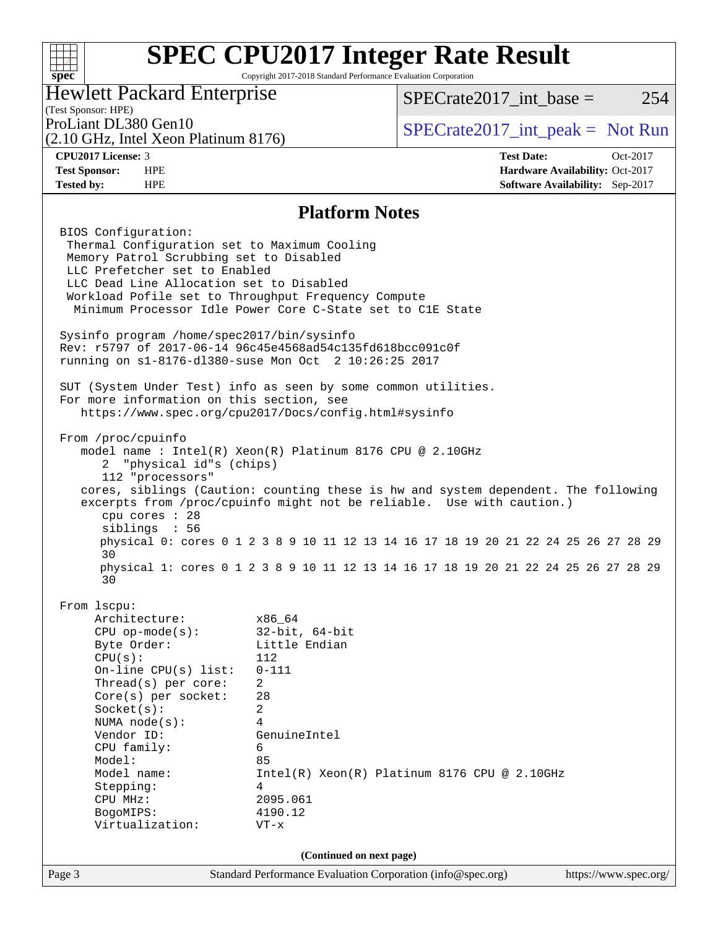

Page 3 Standard Performance Evaluation Corporation [\(info@spec.org\)](mailto:info@spec.org) <https://www.spec.org/> **(Continued on next page)**

Model name: Intel(R) Xeon(R) Platinum 8176 CPU @ 2.10GHz

Stepping: 4

 CPU MHz: 2095.061 BogoMIPS: 4190.12 Virtualization: VT-x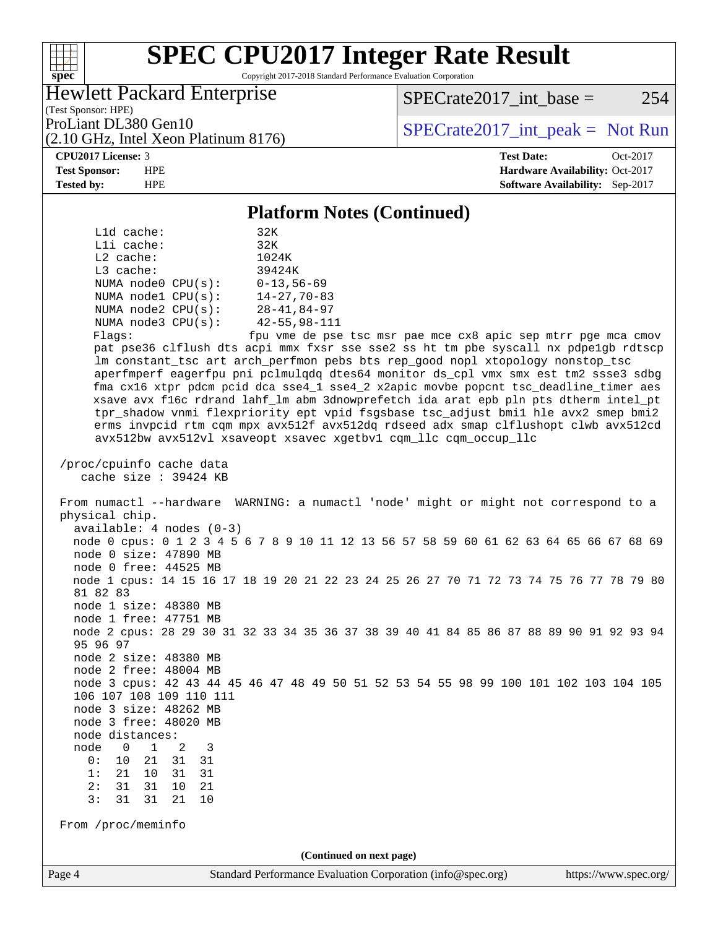## $\pm\,\mu$ **[spec](http://www.spec.org/)**

# **[SPEC CPU2017 Integer Rate Result](http://www.spec.org/auto/cpu2017/Docs/result-fields.html#SPECCPU2017IntegerRateResult)**

Copyright 2017-2018 Standard Performance Evaluation Corporation

Hewlett Packard Enterprise

 $SPECTate2017\_int\_base = 254$ 

(Test Sponsor: HPE) (2.10 GHz, Intel Xeon Platinum 8176)

ProLiant DL380 Gen10<br>  $(2.10 \text{ GHz} \text{ Intel } X_{\text{eon} \text{ Platinum}} 8176)$  [SPECrate2017\\_int\\_peak =](http://www.spec.org/auto/cpu2017/Docs/result-fields.html#SPECrate2017intpeak) Not Run

**[CPU2017 License:](http://www.spec.org/auto/cpu2017/Docs/result-fields.html#CPU2017License)** 3 **[Test Date:](http://www.spec.org/auto/cpu2017/Docs/result-fields.html#TestDate)** Oct-2017 **[Test Sponsor:](http://www.spec.org/auto/cpu2017/Docs/result-fields.html#TestSponsor)** HPE **[Hardware Availability:](http://www.spec.org/auto/cpu2017/Docs/result-fields.html#HardwareAvailability)** Oct-2017 **[Tested by:](http://www.spec.org/auto/cpu2017/Docs/result-fields.html#Testedby)** HPE **HPE [Software Availability:](http://www.spec.org/auto/cpu2017/Docs/result-fields.html#SoftwareAvailability)** Sep-2017

### **[Platform Notes \(Continued\)](http://www.spec.org/auto/cpu2017/Docs/result-fields.html#PlatformNotes)**

| Platform Notes (Continued)                                                              |  |  |  |  |  |  |
|-----------------------------------------------------------------------------------------|--|--|--|--|--|--|
| L1d cache:<br>32K                                                                       |  |  |  |  |  |  |
| 32K<br>Lli cache:                                                                       |  |  |  |  |  |  |
| L2 cache:<br>1024K                                                                      |  |  |  |  |  |  |
| L3 cache:<br>39424K                                                                     |  |  |  |  |  |  |
| NUMA $node0$ $CPU(s):$<br>$0 - 13,56 - 69$                                              |  |  |  |  |  |  |
| NUMA nodel $CPU(s):$<br>$14 - 27, 70 - 83$                                              |  |  |  |  |  |  |
| NUMA $node2$ $CPU(s):$<br>28-41,84-97                                                   |  |  |  |  |  |  |
| NUMA $node3$ $CPU(s)$ :<br>42–55,98–111                                                 |  |  |  |  |  |  |
| fpu vme de pse tsc msr pae mce cx8 apic sep mtrr pge mca cmov<br>Flags:                 |  |  |  |  |  |  |
| pat pse36 clflush dts acpi mmx fxsr sse sse2 ss ht tm pbe syscall nx pdpelgb rdtscp     |  |  |  |  |  |  |
| lm constant_tsc art arch_perfmon pebs bts rep_good nopl xtopology nonstop_tsc           |  |  |  |  |  |  |
| aperfmperf eagerfpu pni pclmulqdq dtes64 monitor ds_cpl vmx smx est tm2 ssse3 sdbg      |  |  |  |  |  |  |
| fma cx16 xtpr pdcm pcid dca sse4_1 sse4_2 x2apic movbe popcnt tsc_deadline_timer aes    |  |  |  |  |  |  |
| xsave avx f16c rdrand lahf_lm abm 3dnowprefetch ida arat epb pln pts dtherm intel_pt    |  |  |  |  |  |  |
| tpr_shadow vnmi flexpriority ept vpid fsgsbase tsc_adjust bmil hle avx2 smep bmi2       |  |  |  |  |  |  |
| erms invpcid rtm cqm mpx avx512f avx512dq rdseed adx smap clflushopt clwb avx512cd      |  |  |  |  |  |  |
| avx512bw avx512vl xsaveopt xsavec xgetbvl cqm_llc cqm_occup_llc                         |  |  |  |  |  |  |
|                                                                                         |  |  |  |  |  |  |
| /proc/cpuinfo cache data                                                                |  |  |  |  |  |  |
| cache size : 39424 KB                                                                   |  |  |  |  |  |  |
|                                                                                         |  |  |  |  |  |  |
| From numactl --hardware WARNING: a numactl 'node' might or might not correspond to a    |  |  |  |  |  |  |
| physical chip.                                                                          |  |  |  |  |  |  |
| $available: 4 nodes (0-3)$                                                              |  |  |  |  |  |  |
| node 0 cpus: 0 1 2 3 4 5 6 7 8 9 10 11 12 13 56 57 58 59 60 61 62 63 64 65 66 67 68 69  |  |  |  |  |  |  |
| node 0 size: 47890 MB                                                                   |  |  |  |  |  |  |
| node 0 free: 44525 MB                                                                   |  |  |  |  |  |  |
| node 1 cpus: 14 15 16 17 18 19 20 21 22 23 24 25 26 27 70 71 72 73 74 75 76 77 78 79 80 |  |  |  |  |  |  |
| 81 82 83                                                                                |  |  |  |  |  |  |
| node 1 size: 48380 MB                                                                   |  |  |  |  |  |  |
| node 1 free: 47751 MB                                                                   |  |  |  |  |  |  |
| node 2 cpus: 28 29 30 31 32 33 34 35 36 37 38 39 40 41 84 85 86 87 88 89 90 91 92 93 94 |  |  |  |  |  |  |
| 95 96 97                                                                                |  |  |  |  |  |  |
| node 2 size: 48380 MB                                                                   |  |  |  |  |  |  |
| node 2 free: 48004 MB                                                                   |  |  |  |  |  |  |
| node 3 cpus: 42 43 44 45 46 47 48 49 50 51 52 53 54 55 98 99 100 101 102 103 104 105    |  |  |  |  |  |  |
| 106 107 108 109 110 111                                                                 |  |  |  |  |  |  |
| node 3 size: 48262 MB                                                                   |  |  |  |  |  |  |
| node 3 free: 48020 MB                                                                   |  |  |  |  |  |  |
| node distances:                                                                         |  |  |  |  |  |  |
| node<br>$\mathbf{1}$<br>0<br>2<br>3                                                     |  |  |  |  |  |  |
| 0:<br>10<br>21<br>31<br>31                                                              |  |  |  |  |  |  |
| 21<br>31<br>1:<br>10<br>31                                                              |  |  |  |  |  |  |
| 2:<br>31<br>10<br>31<br>21                                                              |  |  |  |  |  |  |
| 3:<br>31<br>31<br>21<br>10                                                              |  |  |  |  |  |  |
|                                                                                         |  |  |  |  |  |  |
| From /proc/meminfo                                                                      |  |  |  |  |  |  |
|                                                                                         |  |  |  |  |  |  |
| (Continued on next page)                                                                |  |  |  |  |  |  |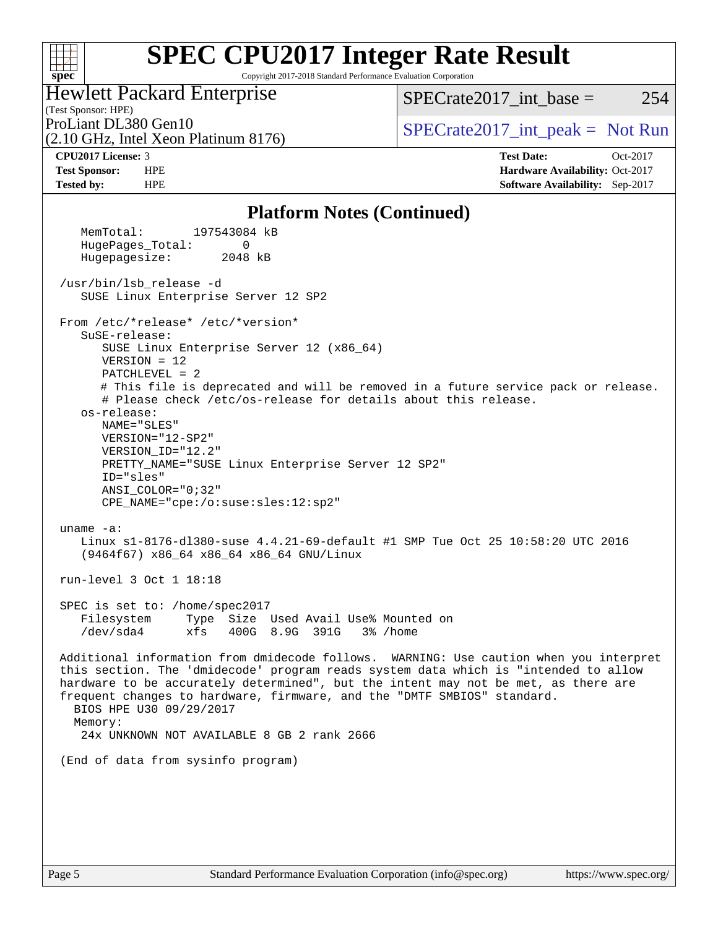

Copyright 2017-2018 Standard Performance Evaluation Corporation

Hewlett Packard Enterprise

(2.10 GHz, Intel Xeon Platinum 8176)

 $SPECTate2017\_int\_base = 254$ 

(Test Sponsor: HPE)

ProLiant DL380 Gen10  $SPECTA = 10$ <br>[SPECrate2017\\_int\\_peak =](http://www.spec.org/auto/cpu2017/Docs/result-fields.html#SPECrate2017intpeak) Not Run

**[CPU2017 License:](http://www.spec.org/auto/cpu2017/Docs/result-fields.html#CPU2017License)** 3 **[Test Date:](http://www.spec.org/auto/cpu2017/Docs/result-fields.html#TestDate)** Oct-2017 **[Test Sponsor:](http://www.spec.org/auto/cpu2017/Docs/result-fields.html#TestSponsor)** HPE **[Hardware Availability:](http://www.spec.org/auto/cpu2017/Docs/result-fields.html#HardwareAvailability)** Oct-2017 **[Tested by:](http://www.spec.org/auto/cpu2017/Docs/result-fields.html#Testedby)** HPE **[Software Availability:](http://www.spec.org/auto/cpu2017/Docs/result-fields.html#SoftwareAvailability)** Sep-2017

#### **[Platform Notes \(Continued\)](http://www.spec.org/auto/cpu2017/Docs/result-fields.html#PlatformNotes)**

 MemTotal: 197543084 kB HugePages\_Total: 0 Hugepagesize: 2048 kB /usr/bin/lsb\_release -d SUSE Linux Enterprise Server 12 SP2 From /etc/\*release\* /etc/\*version\* SuSE-release: SUSE Linux Enterprise Server 12 (x86\_64) VERSION = 12 PATCHLEVEL = 2 # This file is deprecated and will be removed in a future service pack or release. # Please check /etc/os-release for details about this release. os-release: NAME="SLES" VERSION="12-SP2" VERSION\_ID="12.2" PRETTY\_NAME="SUSE Linux Enterprise Server 12 SP2" ID="sles" ANSI\_COLOR="0;32" CPE\_NAME="cpe:/o:suse:sles:12:sp2" uname -a: Linux s1-8176-dl380-suse 4.4.21-69-default #1 SMP Tue Oct 25 10:58:20 UTC 2016 (9464f67) x86\_64 x86\_64 x86\_64 GNU/Linux run-level 3 Oct 1 18:18 SPEC is set to: /home/spec2017 Filesystem Type Size Used Avail Use% Mounted on /dev/sda4 xfs 400G 8.9G 391G 3% /home Additional information from dmidecode follows. WARNING: Use caution when you interpret this section. The 'dmidecode' program reads system data which is "intended to allow hardware to be accurately determined", but the intent may not be met, as there are frequent changes to hardware, firmware, and the "DMTF SMBIOS" standard. BIOS HPE U30 09/29/2017 Memory: 24x UNKNOWN NOT AVAILABLE 8 GB 2 rank 2666 (End of data from sysinfo program)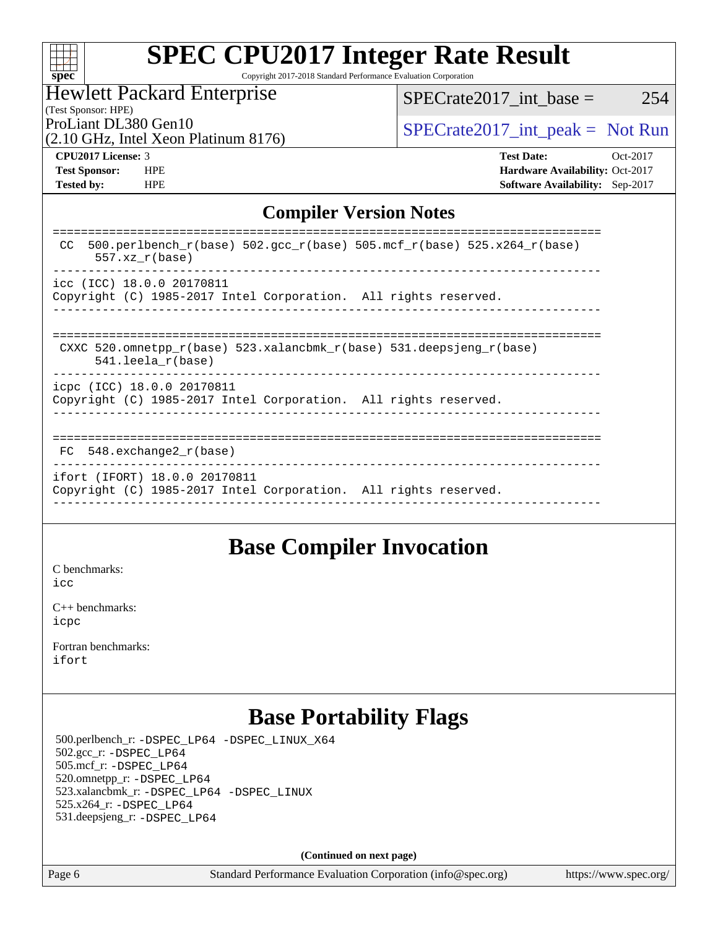| Sì<br>ť<br>U<br>C |  |  |  |  |  |
|-------------------|--|--|--|--|--|

Copyright 2017-2018 Standard Performance Evaluation Corporation

### Hewlett Packard Enterprise

ProLiant DL380 Gen10  $SPECTA = 10$   $SPECTA = 2017$  int peak = Not Run  $SPECTate2017\_int\_base = 254$ 

(2.10 GHz, Intel Xeon Platinum 8176)

(Test Sponsor: HPE)

**[Test Sponsor:](http://www.spec.org/auto/cpu2017/Docs/result-fields.html#TestSponsor)** HPE **[Hardware Availability:](http://www.spec.org/auto/cpu2017/Docs/result-fields.html#HardwareAvailability)** Oct-2017

**[CPU2017 License:](http://www.spec.org/auto/cpu2017/Docs/result-fields.html#CPU2017License)** 3 **[Test Date:](http://www.spec.org/auto/cpu2017/Docs/result-fields.html#TestDate)** Oct-2017

**[Tested by:](http://www.spec.org/auto/cpu2017/Docs/result-fields.html#Testedby)** HPE **[Software Availability:](http://www.spec.org/auto/cpu2017/Docs/result-fields.html#SoftwareAvailability)** Sep-2017 **[Compiler Version Notes](http://www.spec.org/auto/cpu2017/Docs/result-fields.html#CompilerVersionNotes)**

| 500.perlbench $r(base)$ 502.qcc $r(base)$ 505.mcf $r(base)$ 525.x264 $r(base)$<br>CC.<br>$557. xz_r(base)$ |
|------------------------------------------------------------------------------------------------------------|
| icc (ICC) 18.0.0 20170811<br>Copyright (C) 1985-2017 Intel Corporation. All rights reserved.               |
| CXXC 520.omnetpp $r(base)$ 523.xalancbmk $r(base)$ 531.deepsjeng $r(base)$<br>$541.$ leela r(base)         |
| icpc (ICC) 18.0.0 20170811<br>Copyright (C) 1985-2017 Intel Corporation. All rights reserved.              |
| $FC$ 548. exchange2 $r(base)$                                                                              |
| ifort (IFORT) 18.0.0 20170811<br>Copyright (C) 1985-2017 Intel Corporation. All rights reserved.           |
|                                                                                                            |

## **[Base Compiler Invocation](http://www.spec.org/auto/cpu2017/Docs/result-fields.html#BaseCompilerInvocation)**

[C benchmarks](http://www.spec.org/auto/cpu2017/Docs/result-fields.html#Cbenchmarks): [icc](http://www.spec.org/cpu2017/results/res2017q4/cpu2017-20171003-00078.flags.html#user_CCbase_intel_icc_18.0_66fc1ee009f7361af1fbd72ca7dcefbb700085f36577c54f309893dd4ec40d12360134090235512931783d35fd58c0460139e722d5067c5574d8eaf2b3e37e92)

[C++ benchmarks:](http://www.spec.org/auto/cpu2017/Docs/result-fields.html#CXXbenchmarks) [icpc](http://www.spec.org/cpu2017/results/res2017q4/cpu2017-20171003-00078.flags.html#user_CXXbase_intel_icpc_18.0_c510b6838c7f56d33e37e94d029a35b4a7bccf4766a728ee175e80a419847e808290a9b78be685c44ab727ea267ec2f070ec5dc83b407c0218cded6866a35d07)

[Fortran benchmarks](http://www.spec.org/auto/cpu2017/Docs/result-fields.html#Fortranbenchmarks): [ifort](http://www.spec.org/cpu2017/results/res2017q4/cpu2017-20171003-00078.flags.html#user_FCbase_intel_ifort_18.0_8111460550e3ca792625aed983ce982f94888b8b503583aa7ba2b8303487b4d8a21a13e7191a45c5fd58ff318f48f9492884d4413fa793fd88dd292cad7027ca)

## **[Base Portability Flags](http://www.spec.org/auto/cpu2017/Docs/result-fields.html#BasePortabilityFlags)**

 500.perlbench\_r: [-DSPEC\\_LP64](http://www.spec.org/cpu2017/results/res2017q4/cpu2017-20171003-00078.flags.html#b500.perlbench_r_basePORTABILITY_DSPEC_LP64) [-DSPEC\\_LINUX\\_X64](http://www.spec.org/cpu2017/results/res2017q4/cpu2017-20171003-00078.flags.html#b500.perlbench_r_baseCPORTABILITY_DSPEC_LINUX_X64) 502.gcc\_r: [-DSPEC\\_LP64](http://www.spec.org/cpu2017/results/res2017q4/cpu2017-20171003-00078.flags.html#suite_basePORTABILITY502_gcc_r_DSPEC_LP64) 505.mcf\_r: [-DSPEC\\_LP64](http://www.spec.org/cpu2017/results/res2017q4/cpu2017-20171003-00078.flags.html#suite_basePORTABILITY505_mcf_r_DSPEC_LP64) 520.omnetpp\_r: [-DSPEC\\_LP64](http://www.spec.org/cpu2017/results/res2017q4/cpu2017-20171003-00078.flags.html#suite_basePORTABILITY520_omnetpp_r_DSPEC_LP64) 523.xalancbmk\_r: [-DSPEC\\_LP64](http://www.spec.org/cpu2017/results/res2017q4/cpu2017-20171003-00078.flags.html#suite_basePORTABILITY523_xalancbmk_r_DSPEC_LP64) [-DSPEC\\_LINUX](http://www.spec.org/cpu2017/results/res2017q4/cpu2017-20171003-00078.flags.html#b523.xalancbmk_r_baseCXXPORTABILITY_DSPEC_LINUX) 525.x264\_r: [-DSPEC\\_LP64](http://www.spec.org/cpu2017/results/res2017q4/cpu2017-20171003-00078.flags.html#suite_basePORTABILITY525_x264_r_DSPEC_LP64) 531.deepsjeng\_r: [-DSPEC\\_LP64](http://www.spec.org/cpu2017/results/res2017q4/cpu2017-20171003-00078.flags.html#suite_basePORTABILITY531_deepsjeng_r_DSPEC_LP64)

**(Continued on next page)**

Page 6 Standard Performance Evaluation Corporation [\(info@spec.org\)](mailto:info@spec.org) <https://www.spec.org/>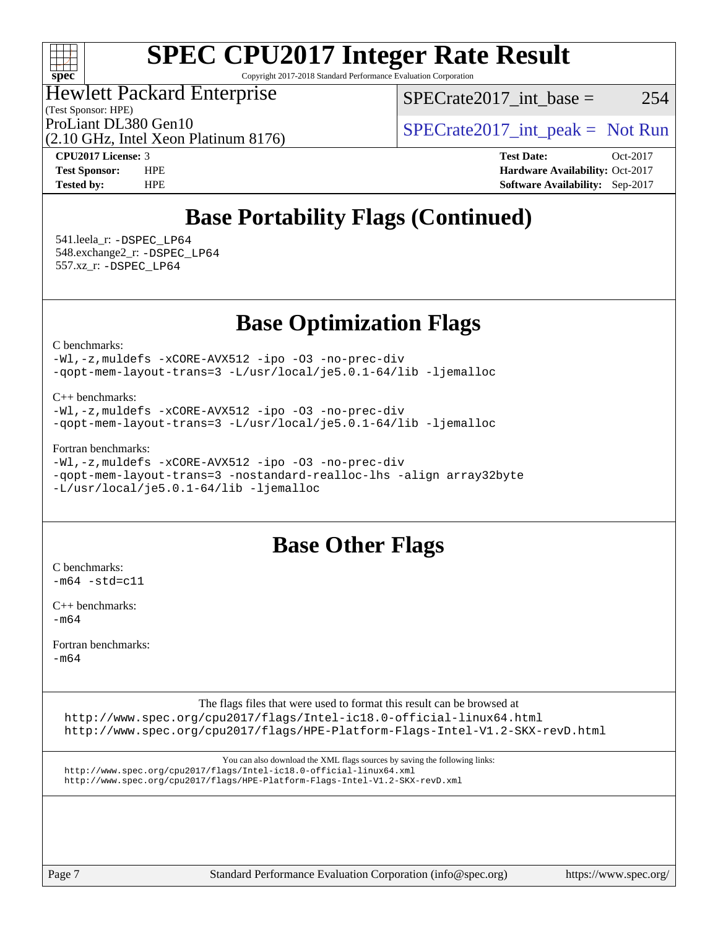

Copyright 2017-2018 Standard Performance Evaluation Corporation

Hewlett Packard Enterprise

(Test Sponsor: HPE)

 $SPECTate2017\_int\_base = 254$ 

(2.10 GHz, Intel Xeon Platinum 8176)

ProLiant DL380 Gen10  $SPECTA = 10$   $SPECTA = 2017$  int peak = Not Run

**[CPU2017 License:](http://www.spec.org/auto/cpu2017/Docs/result-fields.html#CPU2017License)** 3 **[Test Date:](http://www.spec.org/auto/cpu2017/Docs/result-fields.html#TestDate)** Oct-2017 **[Test Sponsor:](http://www.spec.org/auto/cpu2017/Docs/result-fields.html#TestSponsor)** HPE **[Hardware Availability:](http://www.spec.org/auto/cpu2017/Docs/result-fields.html#HardwareAvailability)** Oct-2017 **[Tested by:](http://www.spec.org/auto/cpu2017/Docs/result-fields.html#Testedby)** HPE **[Software Availability:](http://www.spec.org/auto/cpu2017/Docs/result-fields.html#SoftwareAvailability)** Sep-2017

## **[Base Portability Flags \(Continued\)](http://www.spec.org/auto/cpu2017/Docs/result-fields.html#BasePortabilityFlags)**

 541.leela\_r: [-DSPEC\\_LP64](http://www.spec.org/cpu2017/results/res2017q4/cpu2017-20171003-00078.flags.html#suite_basePORTABILITY541_leela_r_DSPEC_LP64) 548.exchange2\_r: [-DSPEC\\_LP64](http://www.spec.org/cpu2017/results/res2017q4/cpu2017-20171003-00078.flags.html#suite_basePORTABILITY548_exchange2_r_DSPEC_LP64) 557.xz\_r: [-DSPEC\\_LP64](http://www.spec.org/cpu2017/results/res2017q4/cpu2017-20171003-00078.flags.html#suite_basePORTABILITY557_xz_r_DSPEC_LP64)

**[Base Optimization Flags](http://www.spec.org/auto/cpu2017/Docs/result-fields.html#BaseOptimizationFlags)**

[C benchmarks](http://www.spec.org/auto/cpu2017/Docs/result-fields.html#Cbenchmarks):

[-Wl,-z,muldefs](http://www.spec.org/cpu2017/results/res2017q4/cpu2017-20171003-00078.flags.html#user_CCbase_link_force_multiple1_b4cbdb97b34bdee9ceefcfe54f4c8ea74255f0b02a4b23e853cdb0e18eb4525ac79b5a88067c842dd0ee6996c24547a27a4b99331201badda8798ef8a743f577) [-xCORE-AVX512](http://www.spec.org/cpu2017/results/res2017q4/cpu2017-20171003-00078.flags.html#user_CCbase_f-xCORE-AVX512) [-ipo](http://www.spec.org/cpu2017/results/res2017q4/cpu2017-20171003-00078.flags.html#user_CCbase_f-ipo) [-O3](http://www.spec.org/cpu2017/results/res2017q4/cpu2017-20171003-00078.flags.html#user_CCbase_f-O3) [-no-prec-div](http://www.spec.org/cpu2017/results/res2017q4/cpu2017-20171003-00078.flags.html#user_CCbase_f-no-prec-div) [-qopt-mem-layout-trans=3](http://www.spec.org/cpu2017/results/res2017q4/cpu2017-20171003-00078.flags.html#user_CCbase_f-qopt-mem-layout-trans_de80db37974c74b1f0e20d883f0b675c88c3b01e9d123adea9b28688d64333345fb62bc4a798493513fdb68f60282f9a726aa07f478b2f7113531aecce732043) [-L/usr/local/je5.0.1-64/lib](http://www.spec.org/cpu2017/results/res2017q4/cpu2017-20171003-00078.flags.html#user_CCbase_jemalloc_link_path64_4b10a636b7bce113509b17f3bd0d6226c5fb2346b9178c2d0232c14f04ab830f976640479e5c33dc2bcbbdad86ecfb6634cbbd4418746f06f368b512fced5394) [-ljemalloc](http://www.spec.org/cpu2017/results/res2017q4/cpu2017-20171003-00078.flags.html#user_CCbase_jemalloc_link_lib_d1249b907c500fa1c0672f44f562e3d0f79738ae9e3c4a9c376d49f265a04b9c99b167ecedbf6711b3085be911c67ff61f150a17b3472be731631ba4d0471706)

[C++ benchmarks:](http://www.spec.org/auto/cpu2017/Docs/result-fields.html#CXXbenchmarks)

[-Wl,-z,muldefs](http://www.spec.org/cpu2017/results/res2017q4/cpu2017-20171003-00078.flags.html#user_CXXbase_link_force_multiple1_b4cbdb97b34bdee9ceefcfe54f4c8ea74255f0b02a4b23e853cdb0e18eb4525ac79b5a88067c842dd0ee6996c24547a27a4b99331201badda8798ef8a743f577) [-xCORE-AVX512](http://www.spec.org/cpu2017/results/res2017q4/cpu2017-20171003-00078.flags.html#user_CXXbase_f-xCORE-AVX512) [-ipo](http://www.spec.org/cpu2017/results/res2017q4/cpu2017-20171003-00078.flags.html#user_CXXbase_f-ipo) [-O3](http://www.spec.org/cpu2017/results/res2017q4/cpu2017-20171003-00078.flags.html#user_CXXbase_f-O3) [-no-prec-div](http://www.spec.org/cpu2017/results/res2017q4/cpu2017-20171003-00078.flags.html#user_CXXbase_f-no-prec-div) [-qopt-mem-layout-trans=3](http://www.spec.org/cpu2017/results/res2017q4/cpu2017-20171003-00078.flags.html#user_CXXbase_f-qopt-mem-layout-trans_de80db37974c74b1f0e20d883f0b675c88c3b01e9d123adea9b28688d64333345fb62bc4a798493513fdb68f60282f9a726aa07f478b2f7113531aecce732043) [-L/usr/local/je5.0.1-64/lib](http://www.spec.org/cpu2017/results/res2017q4/cpu2017-20171003-00078.flags.html#user_CXXbase_jemalloc_link_path64_4b10a636b7bce113509b17f3bd0d6226c5fb2346b9178c2d0232c14f04ab830f976640479e5c33dc2bcbbdad86ecfb6634cbbd4418746f06f368b512fced5394) [-ljemalloc](http://www.spec.org/cpu2017/results/res2017q4/cpu2017-20171003-00078.flags.html#user_CXXbase_jemalloc_link_lib_d1249b907c500fa1c0672f44f562e3d0f79738ae9e3c4a9c376d49f265a04b9c99b167ecedbf6711b3085be911c67ff61f150a17b3472be731631ba4d0471706)

[Fortran benchmarks](http://www.spec.org/auto/cpu2017/Docs/result-fields.html#Fortranbenchmarks):

[-Wl,-z,muldefs](http://www.spec.org/cpu2017/results/res2017q4/cpu2017-20171003-00078.flags.html#user_FCbase_link_force_multiple1_b4cbdb97b34bdee9ceefcfe54f4c8ea74255f0b02a4b23e853cdb0e18eb4525ac79b5a88067c842dd0ee6996c24547a27a4b99331201badda8798ef8a743f577) [-xCORE-AVX512](http://www.spec.org/cpu2017/results/res2017q4/cpu2017-20171003-00078.flags.html#user_FCbase_f-xCORE-AVX512) [-ipo](http://www.spec.org/cpu2017/results/res2017q4/cpu2017-20171003-00078.flags.html#user_FCbase_f-ipo) [-O3](http://www.spec.org/cpu2017/results/res2017q4/cpu2017-20171003-00078.flags.html#user_FCbase_f-O3) [-no-prec-div](http://www.spec.org/cpu2017/results/res2017q4/cpu2017-20171003-00078.flags.html#user_FCbase_f-no-prec-div) [-qopt-mem-layout-trans=3](http://www.spec.org/cpu2017/results/res2017q4/cpu2017-20171003-00078.flags.html#user_FCbase_f-qopt-mem-layout-trans_de80db37974c74b1f0e20d883f0b675c88c3b01e9d123adea9b28688d64333345fb62bc4a798493513fdb68f60282f9a726aa07f478b2f7113531aecce732043) [-nostandard-realloc-lhs](http://www.spec.org/cpu2017/results/res2017q4/cpu2017-20171003-00078.flags.html#user_FCbase_f_2003_std_realloc_82b4557e90729c0f113870c07e44d33d6f5a304b4f63d4c15d2d0f1fab99f5daaed73bdb9275d9ae411527f28b936061aa8b9c8f2d63842963b95c9dd6426b8a) [-align array32byte](http://www.spec.org/cpu2017/results/res2017q4/cpu2017-20171003-00078.flags.html#user_FCbase_align_array32byte_b982fe038af199962ba9a80c053b8342c548c85b40b8e86eb3cc33dee0d7986a4af373ac2d51c3f7cf710a18d62fdce2948f201cd044323541f22fc0fffc51b6) [-L/usr/local/je5.0.1-64/lib](http://www.spec.org/cpu2017/results/res2017q4/cpu2017-20171003-00078.flags.html#user_FCbase_jemalloc_link_path64_4b10a636b7bce113509b17f3bd0d6226c5fb2346b9178c2d0232c14f04ab830f976640479e5c33dc2bcbbdad86ecfb6634cbbd4418746f06f368b512fced5394) [-ljemalloc](http://www.spec.org/cpu2017/results/res2017q4/cpu2017-20171003-00078.flags.html#user_FCbase_jemalloc_link_lib_d1249b907c500fa1c0672f44f562e3d0f79738ae9e3c4a9c376d49f265a04b9c99b167ecedbf6711b3085be911c67ff61f150a17b3472be731631ba4d0471706)

## **[Base Other Flags](http://www.spec.org/auto/cpu2017/Docs/result-fields.html#BaseOtherFlags)**

[C benchmarks](http://www.spec.org/auto/cpu2017/Docs/result-fields.html#Cbenchmarks):  $-m64$   $-std=cl1$ 

[C++ benchmarks:](http://www.spec.org/auto/cpu2017/Docs/result-fields.html#CXXbenchmarks) [-m64](http://www.spec.org/cpu2017/results/res2017q4/cpu2017-20171003-00078.flags.html#user_CXXbase_intel_intel64_18.0_af43caccfc8ded86e7699f2159af6efc7655f51387b94da716254467f3c01020a5059329e2569e4053f409e7c9202a7efc638f7a6d1ffb3f52dea4a3e31d82ab)

[Fortran benchmarks](http://www.spec.org/auto/cpu2017/Docs/result-fields.html#Fortranbenchmarks):

[-m64](http://www.spec.org/cpu2017/results/res2017q4/cpu2017-20171003-00078.flags.html#user_FCbase_intel_intel64_18.0_af43caccfc8ded86e7699f2159af6efc7655f51387b94da716254467f3c01020a5059329e2569e4053f409e7c9202a7efc638f7a6d1ffb3f52dea4a3e31d82ab)

The flags files that were used to format this result can be browsed at

<http://www.spec.org/cpu2017/flags/Intel-ic18.0-official-linux64.html> <http://www.spec.org/cpu2017/flags/HPE-Platform-Flags-Intel-V1.2-SKX-revD.html>

You can also download the XML flags sources by saving the following links: <http://www.spec.org/cpu2017/flags/Intel-ic18.0-official-linux64.xml> <http://www.spec.org/cpu2017/flags/HPE-Platform-Flags-Intel-V1.2-SKX-revD.xml>

Page 7 Standard Performance Evaluation Corporation [\(info@spec.org\)](mailto:info@spec.org) <https://www.spec.org/>